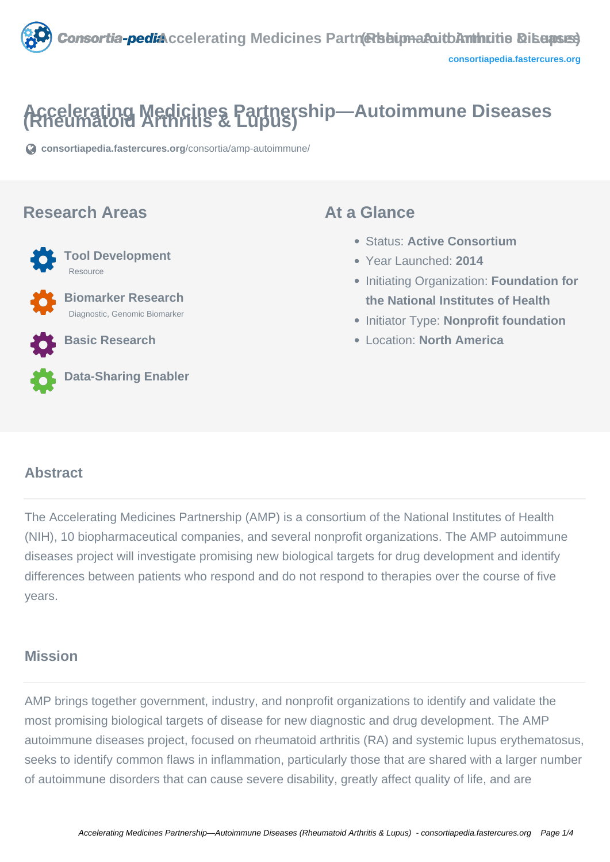

# **Accelerating Medicines Partnership—Autoimmune Diseases (Rheumatoid Arthritis & Lupus)**

**[consortiapedia.fastercures.org](https://consortiapedia.fastercures.org/consortia/amp-autoimmune/)**[/consortia/amp-autoimmune/](https://consortiapedia.fastercures.org/consortia/amp-autoimmune/)

#### **Research Areas**



Resource

 **Biomarker Research** Diagnostic, Genomic Biomarker

**Tool Development**

**Basic Research**



**Data-Sharing Enabler**

#### **At a Glance**

- Status: **Active Consortium**
- Year Launched: **2014**
- **Initiating Organization: Foundation for the National Institutes of Health**
- **Initiator Type: Nonprofit foundation**
- Location: **North America**

#### $\overline{a}$ **Abstract**

The Accelerating Medicines Partnership (AMP) is a consortium of the National Institutes of Health (NIH), 10 biopharmaceutical companies, and several nonprofit organizations. The AMP autoimmune diseases project will investigate promising new biological targets for drug development and identify differences between patients who respond and do not respond to therapies over the course of five years.

#### **Mission**

AMP brings together government, industry, and nonprofit organizations to identify and validate the most promising biological targets of disease for new diagnostic and drug development. The AMP autoimmune diseases project, focused on rheumatoid arthritis (RA) and systemic lupus erythematosus, seeks to identify common flaws in inflammation, particularly those that are shared with a larger number of autoimmune disorders that can cause severe disability, greatly affect quality of life, and are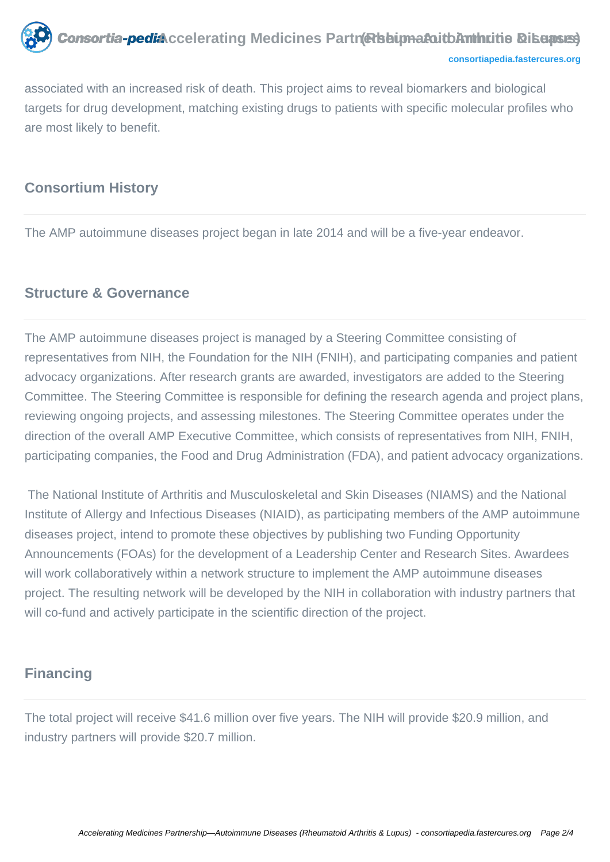

```
consortiapedia.fastercures.org
```
associated with an increased risk of death. This project aims to reveal biomarkers and biological targets for drug development, matching existing drugs to patients with specific molecular profiles who are most likely to benefit.

### **Consortium History**

The AMP autoimmune diseases project began in late 2014 and will be a five-year endeavor.

#### **Structure & Governance**

The AMP autoimmune diseases project is managed by a Steering Committee consisting of representatives from NIH, the Foundation for the NIH (FNIH), and participating companies and patient advocacy organizations. After research grants are awarded, investigators are added to the Steering Committee. The Steering Committee is responsible for defining the research agenda and project plans, reviewing ongoing projects, and assessing milestones. The Steering Committee operates under the direction of the overall AMP Executive Committee, which consists of representatives from NIH, FNIH, participating companies, the Food and Drug Administration (FDA), and patient advocacy organizations.

 The National Institute of Arthritis and Musculoskeletal and Skin Diseases (NIAMS) and the National Institute of Allergy and Infectious Diseases (NIAID), as participating members of the AMP autoimmune diseases project, intend to promote these objectives by publishing two Funding Opportunity Announcements (FOAs) for the development of a Leadership Center and Research Sites. Awardees will work collaboratively within a network structure to implement the AMP autoimmune diseases project. The resulting network will be developed by the NIH in collaboration with industry partners that will co-fund and actively participate in the scientific direction of the project.

### **Financing**

The total project will receive \$41.6 million over five years. The NIH will provide \$20.9 million, and industry partners will provide \$20.7 million.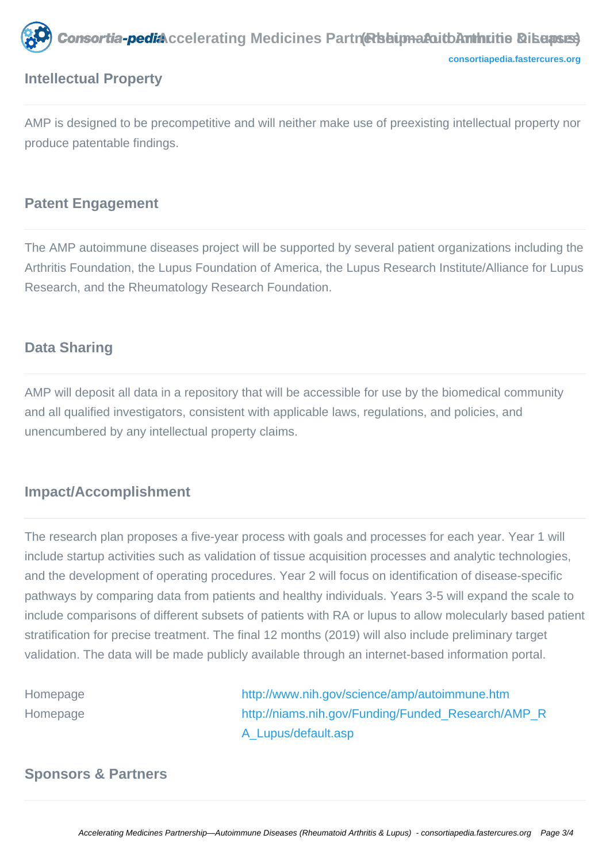

## **Intellectual Property**

AMP is designed to be precompetitive and will neither make use of preexisting intellectual property nor produce patentable findings.

### **Patent Engagement**

The AMP autoimmune diseases project will be supported by several patient organizations including the Arthritis Foundation, the Lupus Foundation of America, the Lupus Research Institute/Alliance for Lupus Research, and the Rheumatology Research Foundation.

### **Data Sharing**

AMP will deposit all data in a repository that will be accessible for use by the biomedical community and all qualified investigators, consistent with applicable laws, regulations, and policies, and unencumbered by any intellectual property claims.

#### **Impact/Accomplishment**

The research plan proposes a five-year process with goals and processes for each year. Year 1 will include startup activities such as validation of tissue acquisition processes and analytic technologies, and the development of operating procedures. Year 2 will focus on identification of disease-specific pathways by comparing data from patients and healthy individuals. Years 3-5 will expand the scale to include comparisons of different subsets of patients with RA or lupus to allow molecularly based patient stratification for precise treatment. The final 12 months (2019) will also include preliminary target validation. The data will be made publicly available through an internet-based information portal.

Homepage <http://www.nih.gov/science/amp/autoimmune.htm> Homepage http://niams.nih.gov/Funding/Funded Research/AMP\_R [A\\_Lupus/default.asp](http://niams.nih.gov/Funding/Funded_Research/AMP_RA_Lupus/default.asp)

#### **Sponsors & Partners**